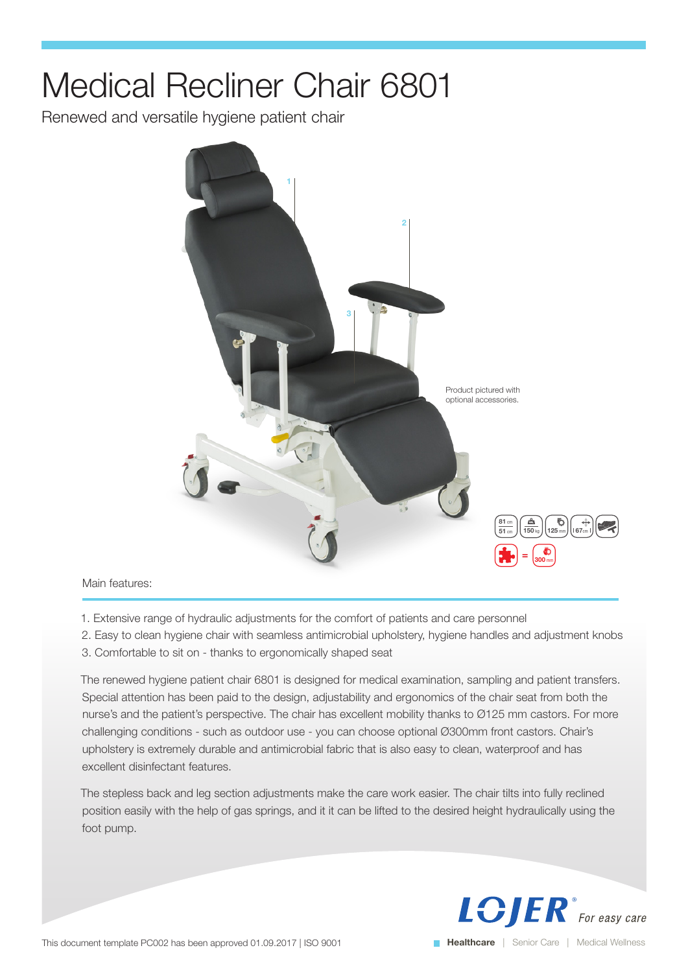## Medical Recliner Chair 6801

Renewed and versatile hygiene patient chair



## Main features:

- 1. Extensive range of hydraulic adjustments for the comfort of patients and care personnel
- 2. Easy to clean hygiene chair with seamless antimicrobial upholstery, hygiene handles and adjustment knobs
- 3. Comfortable to sit on thanks to ergonomically shaped seat

The renewed hygiene patient chair 6801 is designed for medical examination, sampling and patient transfers. Special attention has been paid to the design, adjustability and ergonomics of the chair seat from both the nurse's and the patient's perspective. The chair has excellent mobility thanks to Ø125 mm castors. For more challenging conditions - such as outdoor use - you can choose optional Ø300mm front castors. Chair's upholstery is extremely durable and antimicrobial fabric that is also easy to clean, waterproof and has excellent disinfectant features.

The stepless back and leg section adjustments make the care work easier. The chair tilts into fully reclined position easily with the help of gas springs, and it it can be lifted to the desired height hydraulically using the foot pump.